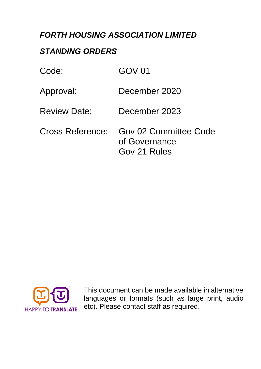# *FORTH HOUSING ASSOCIATION LIMITED*

# *STANDING ORDERS*

| Code:               | GOV 01                                                 |
|---------------------|--------------------------------------------------------|
| Approval:           | December 2020                                          |
| <b>Review Date:</b> | December 2023                                          |
| Cross Reference:    | Gov 02 Committee Code<br>of Governance<br>Gov 21 Rules |



This document can be made available in alternative languages or formats (such as large print, audio etc). Please contact staff as required.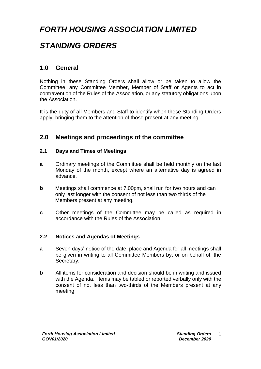# *FORTH HOUSING ASSOCIATION LIMITED*

# *STANDING ORDERS*

# **1.0 General**

Nothing in these Standing Orders shall allow or be taken to allow the Committee, any Committee Member, Member of Staff or Agents to act in contravention of the Rules of the Association, or any statutory obligations upon the Association.

It is the duty of all Members and Staff to identify when these Standing Orders apply, bringing them to the attention of those present at any meeting.

## **2.0 Meetings and proceedings of the committee**

#### **2.1 Days and Times of Meetings**

- **a** Ordinary meetings of the Committee shall be held monthly on the last Monday of the month, except where an alternative day is agreed in advance.
- **b** Meetings shall commence at 7.00pm, shall run for two hours and can only last longer with the consent of not less than two thirds of the Members present at any meeting.
- **c** Other meetings of the Committee may be called as required in accordance with the Rules of the Association.

#### **2.2 Notices and Agendas of Meetings**

- **a** Seven days' notice of the date, place and Agenda for all meetings shall be given in writing to all Committee Members by, or on behalf of, the Secretary.
- **b** All items for consideration and decision should be in writing and issued with the Agenda. Items may be tabled or reported verbally only with the consent of not less than two-thirds of the Members present at any meeting.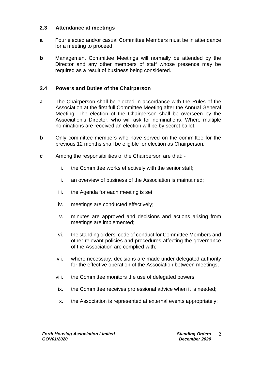#### **2.3 Attendance at meetings**

- **a** Four elected and/or casual Committee Members must be in attendance for a meeting to proceed.
- **b** Management Committee Meetings will normally be attended by the Director and any other members of staff whose presence may be required as a result of business being considered.

#### **2.4 Powers and Duties of the Chairperson**

- **a** The Chairperson shall be elected in accordance with the Rules of the Association at the first full Committee Meeting after the Annual General Meeting. The election of the Chairperson shall be overseen by the Association's Director, who will ask for nominations. Where multiple nominations are received an election will be by secret ballot.
- **b** Only committee members who have served on the committee for the previous 12 months shall be eligible for election as Chairperson.
- **c** Among the responsibilities of the Chairperson are that:
	- i. the Committee works effectively with the senior staff;
	- ii. an overview of business of the Association is maintained;
	- iii. the Agenda for each meeting is set;
	- iv. meetings are conducted effectively;
	- v. minutes are approved and decisions and actions arising from meetings are implemented;
	- vi. the standing orders, code of conduct for Committee Members and other relevant policies and procedures affecting the governance of the Association are complied with;
	- vii. where necessary, decisions are made under delegated authority for the effective operation of the Association between meetings;
	- viii. the Committee monitors the use of delegated powers;
	- ix. the Committee receives professional advice when it is needed;
	- x. the Association is represented at external events appropriately;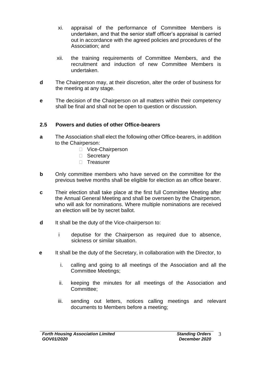- xi. appraisal of the performance of Committee Members is undertaken, and that the senior staff officer's appraisal is carried out in accordance with the agreed policies and procedures of the Association; and
- xii. the training requirements of Committee Members, and the recruitment and induction of new Committee Members is undertaken.
- **d** The Chairperson may, at their discretion, alter the order of business for the meeting at any stage.
- **e** The decision of the Chairperson on all matters within their competency shall be final and shall not be open to question or discussion.

#### **2.5 Powers and duties of other Office-bearers**

- **a** The Association shall elect the following other Office-bearers, in addition to the Chairperson:
	- □ Vice-Chairperson
	- □ Secretary
	- □ Treasurer
- **b** Only committee members who have served on the committee for the previous twelve months shall be eligible for election as an office bearer.
- **c** Their election shall take place at the first full Committee Meeting after the Annual General Meeting and shall be overseen by the Chairperson, who will ask for nominations. Where multiple nominations are received an election will be by secret ballot.
- **d** It shall be the duty of the Vice-chairperson to:
	- i deputise for the Chairperson as required due to absence, sickness or similar situation.
- **e** It shall be the duty of the Secretary, in collaboration with the Director, to
	- i. calling and going to all meetings of the Association and all the Committee Meetings;
	- ii. keeping the minutes for all meetings of the Association and Committee;
	- iii. sending out letters, notices calling meetings and relevant documents to Members before a meeting;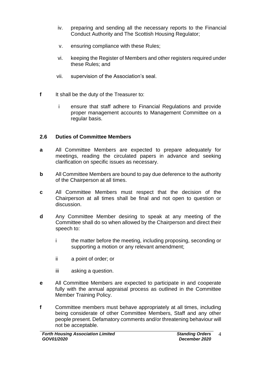- iv. preparing and sending all the necessary reports to the Financial Conduct Authority and The Scottish Housing Regulator;
- v. ensuring compliance with these Rules;
- vi. keeping the Register of Members and other registers required under these Rules; and
- vii. supervision of the Association's seal.
- **f** It shall be the duty of the Treasurer to:
	- i ensure that staff adhere to Financial Regulations and provide proper management accounts to Management Committee on a regular basis.

### **2.6 Duties of Committee Members**

- **a** All Committee Members are expected to prepare adequately for meetings, reading the circulated papers in advance and seeking clarification on specific issues as necessary.
- **b** All Committee Members are bound to pay due deference to the authority of the Chairperson at all times.
- **c** All Committee Members must respect that the decision of the Chairperson at all times shall be final and not open to question or discussion.
- **d** Any Committee Member desiring to speak at any meeting of the Committee shall do so when allowed by the Chairperson and direct their speech to:
	- i the matter before the meeting, including proposing, seconding or supporting a motion or any relevant amendment;
	- ii a point of order; or
	- iii asking a question.
- **e** All Committee Members are expected to participate in and cooperate fully with the annual appraisal process as outlined in the Committee Member Training Policy.
- **f** Committee members must behave appropriately at all times, including being considerate of other Committee Members, Staff and any other people present. Defamatory comments and/or threatening behaviour will not be acceptable.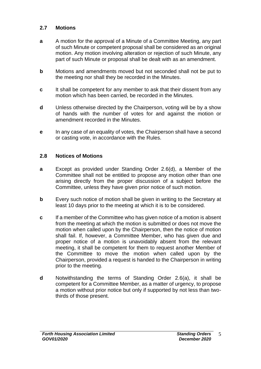#### **2.7 Motions**

- **a** A motion for the approval of a Minute of a Committee Meeting, any part of such Minute or competent proposal shall be considered as an original motion. Any motion involving alteration or rejection of such Minute, any part of such Minute or proposal shall be dealt with as an amendment.
- **b** Motions and amendments moved but not seconded shall not be put to the meeting nor shall they be recorded in the Minutes.
- **c** It shall be competent for any member to ask that their dissent from any motion which has been carried, be recorded in the Minutes.
- **d** Unless otherwise directed by the Chairperson, voting will be by a show of hands with the number of votes for and against the motion or amendment recorded in the Minutes.
- **e** In any case of an equality of votes, the Chairperson shall have a second or casting vote, in accordance with the Rules.

#### **2.8 Notices of Motions**

- **a** Except as provided under Standing Order 2.6(d), a Member of the Committee shall not be entitled to propose any motion other than one arising directly from the proper discussion of a subject before the Committee, unless they have given prior notice of such motion.
- **b** Every such notice of motion shall be given in writing to the Secretary at least 10 days prior to the meeting at which it is to be considered.
- **c** If a member of the Committee who has given notice of a motion is absent from the meeting at which the motion is submitted or does not move the motion when called upon by the Chairperson, then the notice of motion shall fail. If, however, a Committee Member, who has given due and proper notice of a motion is unavoidably absent from the relevant meeting, it shall be competent for them to request another Member of the Committee to move the motion when called upon by the Chairperson, provided a request is handed to the Chairperson in writing prior to the meeting.
- **d** Notwithstanding the terms of Standing Order 2.6(a), it shall be competent for a Committee Member, as a matter of urgency, to propose a motion without prior notice but only if supported by not less than twothirds of those present.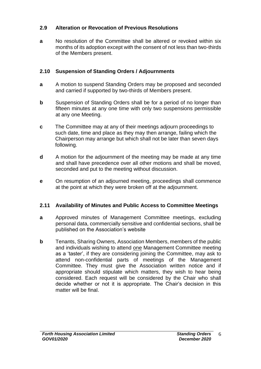#### **2.9 Alteration or Revocation of Previous Resolutions**

**a** No resolution of the Committee shall be altered or revoked within six months of its adoption except with the consent of not less than two-thirds of the Members present.

### **2.10 Suspension of Standing Orders / Adjournments**

- **a** A motion to suspend Standing Orders may be proposed and seconded and carried if supported by two-thirds of Members present.
- **b** Suspension of Standing Orders shall be for a period of no longer than fifteen minutes at any one time with only two suspensions permissible at any one Meeting.
- **c** The Committee may at any of their meetings adjourn proceedings to such date, time and place as they may then arrange, failing which the Chairperson may arrange but which shall not be later than seven days following.
- **d** A motion for the adjournment of the meeting may be made at any time and shall have precedence over all other motions and shall be moved, seconded and put to the meeting without discussion.
- **e** On resumption of an adjourned meeting, proceedings shall commence at the point at which they were broken off at the adjournment.

### **2.11 Availability of Minutes and Public Access to Committee Meetings**

- **a** Approved minutes of Management Committee meetings, excluding personal data, commercially sensitive and confidential sections, shall be published on the Association's website
- **b** Tenants, Sharing Owners, Association Members, members of the public and individuals wishing to attend one Management Committee meeting as a 'taster', if they are considering joining the Committee, may ask to attend non-confidential parts of meetings of the Management Committee. They must give the Association written notice and if appropriate should stipulate which matters, they wish to hear being considered. Each request will be considered by the Chair who shall decide whether or not it is appropriate. The Chair's decision in this matter will be final.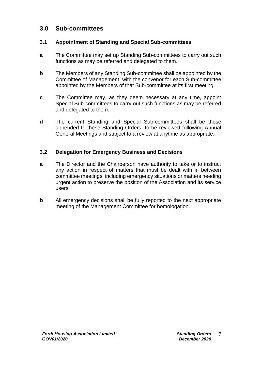# **3.0 Sub-committees**

### **3.1 Appointment of Standing and Special Sub-committees**

- **a** The Committee may set up Standing Sub-committees to carry out such functions as may be referred and delegated to them.
- **b** The Members of any Standing Sub-committee shall be appointed by the Committee of Management, with the convenor for each Sub-committee appointed by the Members of that Sub-committee at its first meeting.
- **c** The Committee may, as they deem necessary at any time, appoint Special Sub-committees to carry out such functions as may be referred and delegated to them.
- **d** The current Standing and Special Sub-committees shall be those appended to these Standing Orders, to be reviewed following Annual General Meetings and subject to a review at anytime as appropriate.

## **3.2 Delegation for Emergency Business and Decisions**

- **a** The Director and the Chairperson have authority to take or to instruct any action in respect of matters that must be dealt with in between committee meetings, including emergency situations or matters needing urgent action to preserve the position of the Association and its service users.
- **b** All emergency decisions shall be fully reported to the next appropriate meeting of the Management Committee for homologation.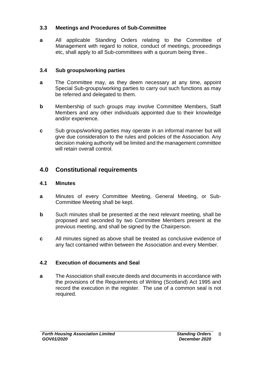#### **3.3 Meetings and Procedures of Sub-Committee**

**a** All applicable Standing Orders relating to the Committee of Management with regard to notice, conduct of meetings, proceedings etc, shall apply to all Sub-committees with a quorum being three..

### **3.4 Sub groups/working parties**

- **a** The Committee may, as they deem necessary at any time, appoint Special Sub-groups/working parties to carry out such functions as may be referred and delegated to them.
- **b** Membership of such groups may involve Committee Members, Staff Members and any other individuals appointed due to their knowledge and/or experience.
- **c** Sub groups/working parties may operate in an informal manner but will give due consideration to the rules and policies of the Association. Any decision making authority will be limited and the management committee will retain overall control.

# **4.0 Constitutional requirements**

### **4.1 Minutes**

- **a** Minutes of every Committee Meeting, General Meeting, or Sub-Committee Meeting shall be kept.
- **b** Such minutes shall be presented at the next relevant meeting, shall be proposed and seconded by two Committee Members present at the previous meeting, and shall be signed by the Chairperson.
- **c** All minutes signed as above shall be treated as conclusive evidence of any fact contained within between the Association and every Member.

## **4.2 Execution of documents and Seal**

**a** The Association shall execute deeds and documents in accordance with the provisions of the Requirements of Writing (Scotland) Act 1995 and record the execution in the register. The use of a common seal is not required.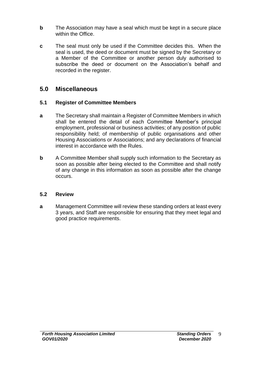- **b** The Association may have a seal which must be kept in a secure place within the Office.
- **c** The seal must only be used if the Committee decides this. When the seal is used, the deed or document must be signed by the Secretary or a Member of the Committee or another person duly authorised to subscribe the deed or document on the Association's behalf and recorded in the register.

# **5.0 Miscellaneous**

### **5.1 Register of Committee Members**

- **a** The Secretary shall maintain a Register of Committee Members in which shall be entered the detail of each Committee Member's principal employment, professional or business activities; of any position of public responsibility held; of membership of public organisations and other Housing Associations or Associations; and any declarations of financial interest in accordance with the Rules.
- **b** A Committee Member shall supply such information to the Secretary as soon as possible after being elected to the Committee and shall notify of any change in this information as soon as possible after the change occurs.

### **5.2 Review**

**a** Management Committee will review these standing orders at least every 3 years, and Staff are responsible for ensuring that they meet legal and good practice requirements.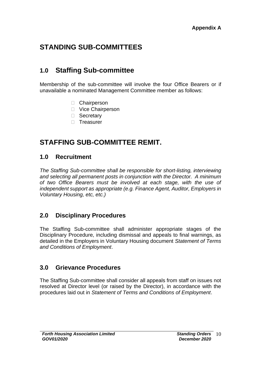# **STANDING SUB-COMMITTEES**

# **1.0 Staffing Sub-committee**

Membership of the sub-committee will involve the four Office Bearers or if unavailable a nominated Management Committee member as follows:

- □ Chairperson
- □ Vice Chairperson
- □ Secretary
- □ Treasurer

# **STAFFING SUB-COMMITTEE REMIT.**

# **1.0 Recruitment**

*The Staffing Sub-committee shall be responsible for short-listing, interviewing and selecting all permanent posts in conjunction with the Director. A minimum of two Office Bearers must be involved at each stage, with the use of independent support as appropriate (e.g. Finance Agent, Auditor, Employers in Voluntary Housing, etc, etc.)*

# **2.0 Disciplinary Procedures**

The Staffing Sub-committee shall administer appropriate stages of the Disciplinary Procedure, including dismissal and appeals to final warnings, as detailed in the Employers in Voluntary Housing document *Statement of Terms and Conditions of Employment*.

# **3.0 Grievance Procedures**

The Staffing Sub-committee shall consider all appeals from staff on issues not resolved at Director level (or raised by the Director), in accordance with the procedures laid out in *Statement of Terms and Conditions of Employment*.